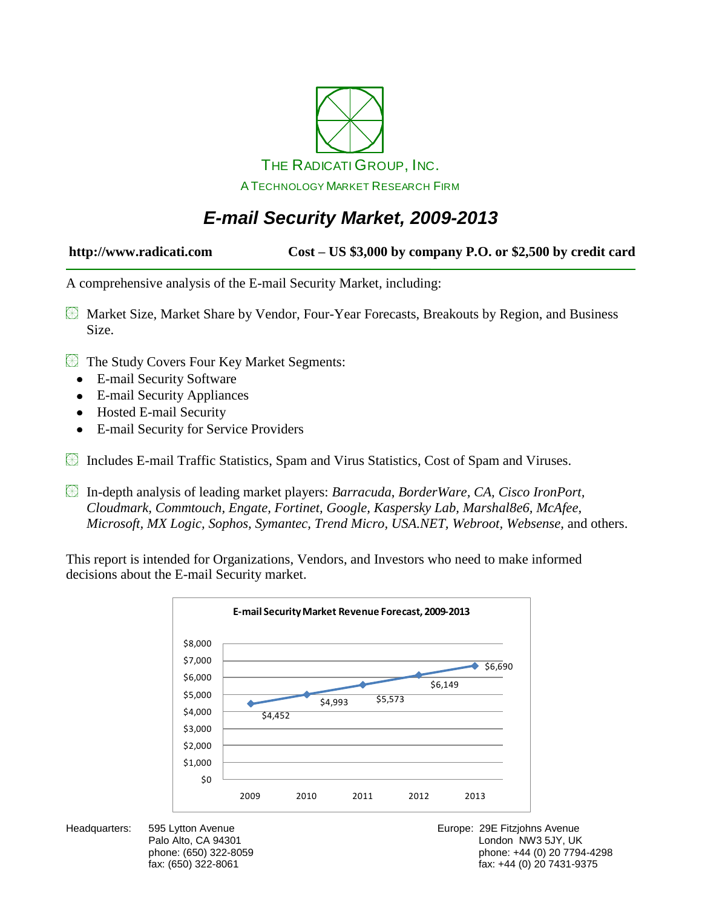

## *E-mail Security Market, 2009-2013*

**http://www.radicati.com Cost – US \$3,000 by company P.O. or \$2,500 by credit card**

A comprehensive analysis of the E-mail Security Market, including:

- Market Size, Market Share by Vendor, Four-Year Forecasts, Breakouts by Region, and Business Size.
- The Study Covers Four Key Market Segments:
	- E-mail Security Software  $\bullet$
	- E-mail Security Appliances  $\bullet$
	- Hosted E-mail Security
	- E-mail Security for Service Providers
- Includes E-mail Traffic Statistics, Spam and Virus Statistics, Cost of Spam and Viruses.
- In-depth analysis of leading market players: *Barracuda*, *BorderWare, CA, Cisco IronPort, Cloudmark, Commtouch, Engate, Fortinet, Google, Kaspersky Lab, Marshal8e6, McAfee, Microsoft, MX Logic, Sophos, Symantec, Trend Micro, USA.NET, Webroot, Websense,* and others.

This report is intended for Organizations, Vendors, and Investors who need to make informed decisions about the E-mail Security market.



Headquarters: 595 Lytton Avenue **Europe: 295 Fitzjohns Avenue** Europe: 29E Fitzjohns Avenue Palo Alto, CA 94301 **Disk and Alto, CA 94301** London NW3 5JY, UK phone: (650) 322-8059 phone: +44 (0) 20 7794-4298 fax: +44 (0) 20 7431-9375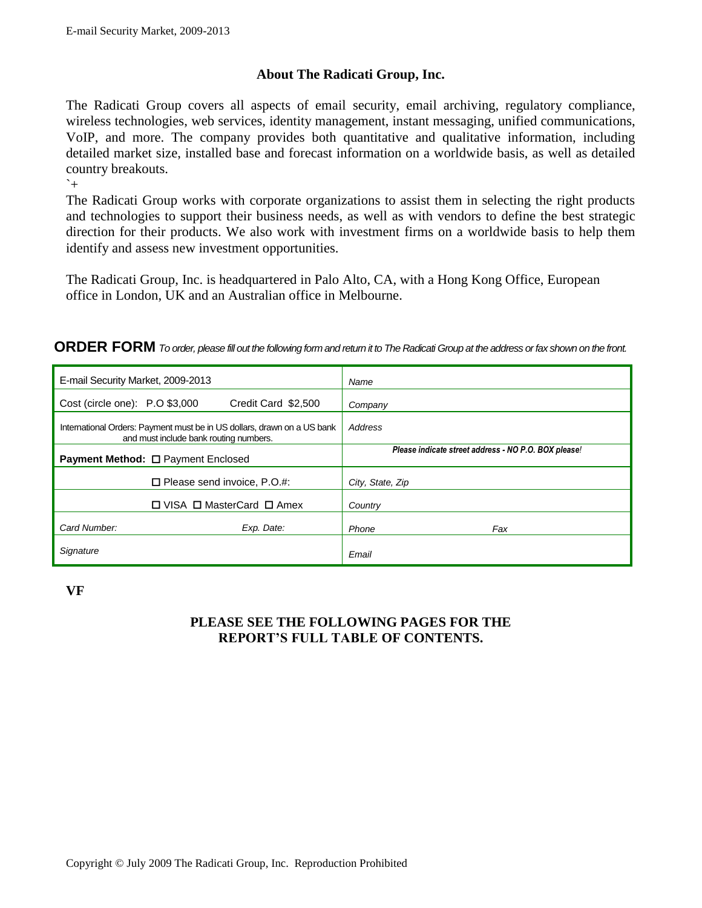#### **About The Radicati Group, Inc.**

The Radicati Group covers all aspects of email security, email archiving, regulatory compliance, wireless technologies, web services, identity management, instant messaging, unified communications, VoIP, and more. The company provides both quantitative and qualitative information, including detailed market size, installed base and forecast information on a worldwide basis, as well as detailed country breakouts.

 $\sim$ 

The Radicati Group works with corporate organizations to assist them in selecting the right products and technologies to support their business needs, as well as with vendors to define the best strategic direction for their products. We also work with investment firms on a worldwide basis to help them identify and assess new investment opportunities.

The Radicati Group, Inc. is headquartered in Palo Alto, CA, with a Hong Kong Office, European office in London, UK and an Australian office in Melbourne.

| E-mail Security Market, 2009-2013                                                                                 | Name                                                 |
|-------------------------------------------------------------------------------------------------------------------|------------------------------------------------------|
| Cost (circle one): P.O \$3,000<br>Credit Card \$2,500                                                             | Company                                              |
| International Orders: Payment must be in US dollars, drawn on a US bank<br>and must include bank routing numbers. | Address                                              |
| <b>Payment Method: □ Payment Enclosed</b>                                                                         | Please indicate street address - NO P.O. BOX please! |
| $\Box$ Please send invoice, P.O.#:                                                                                | City, State, Zip                                     |
| □ VISA □ MasterCard □ Amex                                                                                        | Country                                              |
| Card Number:<br>Exp. Date:                                                                                        | Phone<br>Fax                                         |
| Signature                                                                                                         | Email                                                |

**VF** 

### **PLEASE SEE THE FOLLOWING PAGES FOR THE REPORT'S FULL TABLE OF CONTENTS.**

**ORDER FORM** *To order, please fill out the following form and return it to The Radicati Group at the address or fax shown on the front.*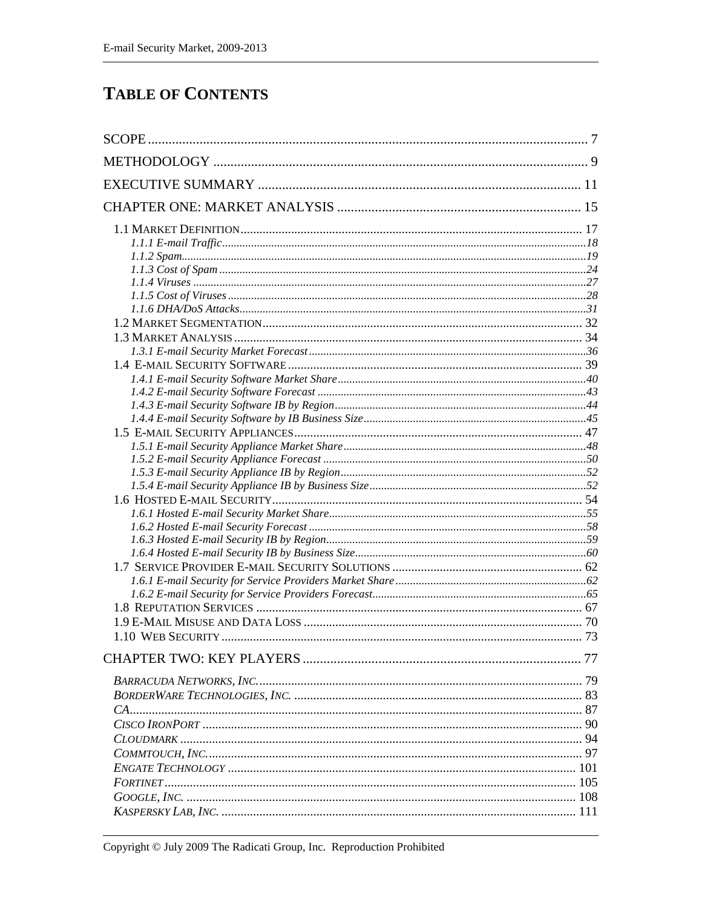### **TABLE OF CONTENTS**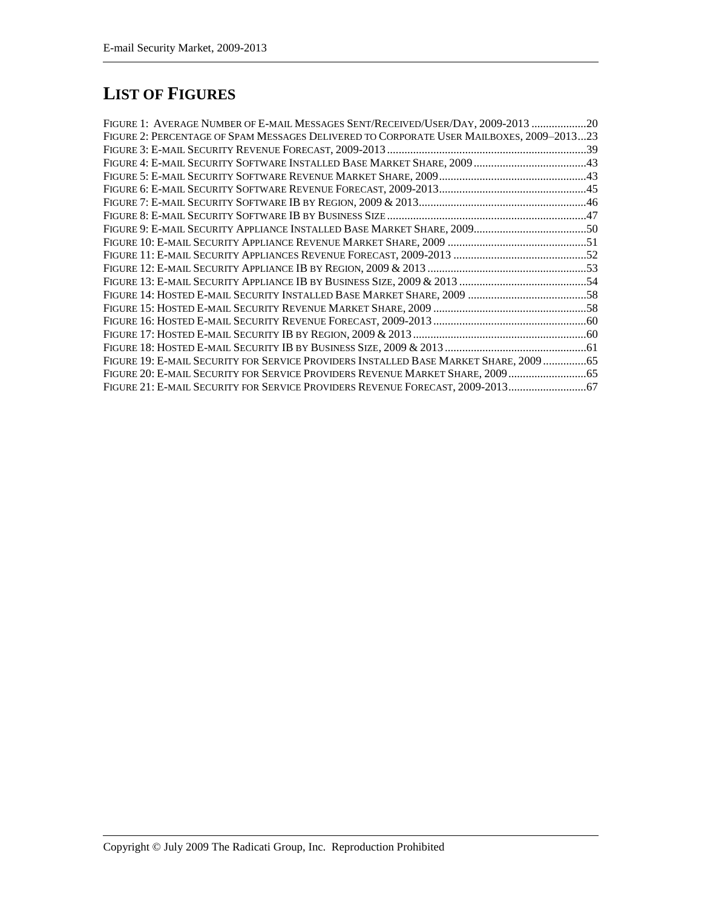# **LIST OF FIGURES**

| FIGURE 1: AVERAGE NUMBER OF E-MAIL MESSAGES SENT/RECEIVED/USER/DAY, 2009-2013 20         |  |
|------------------------------------------------------------------------------------------|--|
| FIGURE 2: PERCENTAGE OF SPAM MESSAGES DELIVERED TO CORPORATE USER MAILBOXES, 2009-201323 |  |
|                                                                                          |  |
|                                                                                          |  |
|                                                                                          |  |
|                                                                                          |  |
|                                                                                          |  |
|                                                                                          |  |
|                                                                                          |  |
|                                                                                          |  |
|                                                                                          |  |
|                                                                                          |  |
|                                                                                          |  |
|                                                                                          |  |
|                                                                                          |  |
|                                                                                          |  |
|                                                                                          |  |
|                                                                                          |  |
| FIGURE 19: E-MAIL SECURITY FOR SERVICE PROVIDERS INSTALLED BASE MARKET SHARE, 2009 65    |  |
| FIGURE 20: E-MAIL SECURITY FOR SERVICE PROVIDERS REVENUE MARKET SHARE, 2009 65           |  |
| FIGURE 21: E-MAIL SECURITY FOR SERVICE PROVIDERS REVENUE FORECAST, 2009-2013             |  |